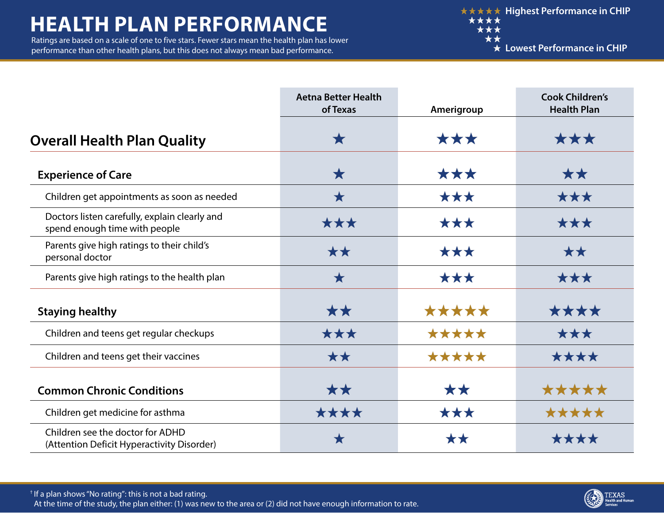## **HEALTH PLAN PERFORMANCE**

Ratings are based on a scale of one to five stars. Fewer stars mean the health plan has lower performance than other health plans, but this does not always mean bad performance.

|                                                                                | <b>Aetna Better Health</b><br>of Texas | Amerigroup | <b>Cook Children's</b><br><b>Health Plan</b> |
|--------------------------------------------------------------------------------|----------------------------------------|------------|----------------------------------------------|
| <b>Overall Health Plan Quality</b>                                             | Х                                      | ***        | ***                                          |
| <b>Experience of Care</b>                                                      | $\bigstar$                             | ***        | **                                           |
| Children get appointments as soon as needed                                    | $\bigstar$                             | ***        | ***                                          |
| Doctors listen carefully, explain clearly and<br>spend enough time with people | ***                                    | ***        | ***                                          |
| Parents give high ratings to their child's<br>personal doctor                  | **                                     | ***        | **                                           |
| Parents give high ratings to the health plan                                   | $\bigstar$                             | ***        | ***                                          |
| <b>Staying healthy</b>                                                         | ★★                                     | *****      | ****                                         |
| Children and teens get regular checkups                                        | ***                                    | *****      | ***                                          |
| Children and teens get their vaccines                                          | **                                     | *****      | ****                                         |
| <b>Common Chronic Conditions</b>                                               | **                                     | **         | *****                                        |
| Children get medicine for asthma                                               | ****                                   | ***        | *****                                        |
| Children see the doctor for ADHD<br>(Attention Deficit Hyperactivity Disorder) | Х                                      | **         | ****                                         |